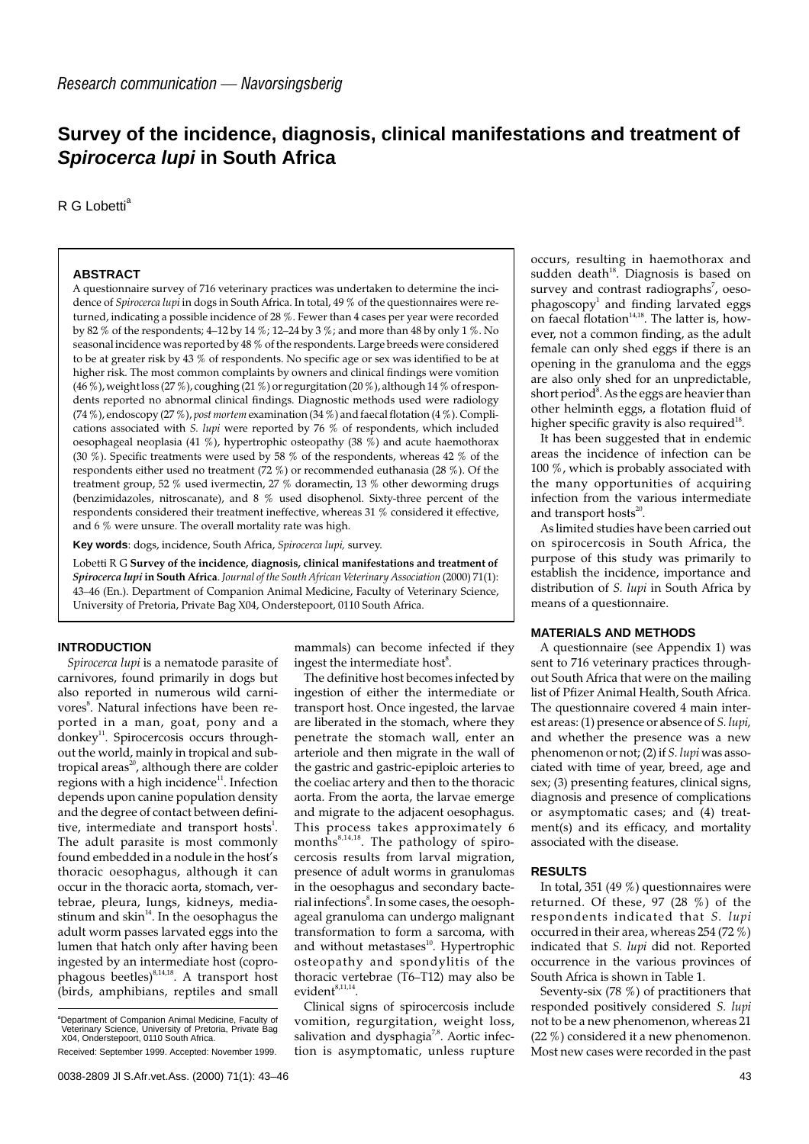## **Survey of the incidence, diagnosis, clinical manifestations and treatment of Spirocerca lupi in South Africa**

R G Lobetti<sup>a</sup>

#### **ABSTRACT**

A questionnaire survey of 716 veterinary practices was undertaken to determine the incidence of *Spirocerca lupi* in dogs in South Africa. In total, 49 % of the questionnaires were returned, indicating a possible incidence of 28 %. Fewer than 4 cases per year were recorded by 82 % of the respondents; 4–12 by 14 %; 12–24 by 3 %; and more than 48 by only 1 %. No seasonal incidence was reported by 48 % of the respondents. Large breeds were considered to be at greater risk by 43 % of respondents. No specific age or sex was identified to be at higher risk. The most common complaints by owners and clinical findings were vomition (46 %), weight loss (27 %), coughing (21 %) or regurgitation (20 %), although 14 % of respondents reported no abnormal clinical findings. Diagnostic methods used were radiology (74 %), endoscopy (27 %), *post mortem* examination (34 %) and faecal flotation (4 %). Complications associated with *S. lupi* were reported by 76 % of respondents, which included oesophageal neoplasia (41 %), hypertrophic osteopathy (38 %) and acute haemothorax (30 %). Specific treatments were used by 58 % of the respondents, whereas 42 % of the respondents either used no treatment (72 %) or recommended euthanasia (28 %). Of the treatment group, 52 % used ivermectin, 27 % doramectin, 13 % other deworming drugs (benzimidazoles, nitroscanate), and 8 % used disophenol. Sixty-three percent of the respondents considered their treatment ineffective, whereas 31 % considered it effective, and 6 % were unsure. The overall mortality rate was high.

**Key words**: dogs, incidence, South Africa, *Spirocerca lupi,* survey.

Lobetti R G **Survey of the incidence, diagnosis, clinical manifestations and treatment of** *Spirocerca lupi* **in South Africa**. *Journal of the South African Veterinary Association* (2000) 71(1): 43–46 (En.). Department of Companion Animal Medicine, Faculty of Veterinary Science, University of Pretoria, Private Bag X04, Onderstepoort, 0110 South Africa.

#### **INTRODUCTION**

*Spirocerca lupi* is a nematode parasite of carnivores, found primarily in dogs but also reported in numerous wild carnivores<sup>8</sup>. Natural infections have been reported in a man, goat, pony and a donkey<sup>11</sup>. Spirocercosis occurs throughout the world, mainly in tropical and subtropical areas<sup>20</sup>, although there are colder regions with a high incidence $11$ . Infection depends upon canine population density and the degree of contact between definitive, intermediate and transport hosts<sup>1</sup>. The adult parasite is most commonly found embedded in a nodule in the host's thoracic oesophagus, although it can occur in the thoracic aorta, stomach, vertebrae, pleura, lungs, kidneys, mediastinum and skin $14$ . In the oesophagus the adult worm passes larvated eggs into the lumen that hatch only after having been ingested by an intermediate host (coprophagous beetles) $8,14,18$ . A transport host (birds, amphibians, reptiles and small

Received: September 1999. Accepted: November 1999.

mammals) can become infected if they ingest the intermediate host<sup>8</sup>.

The definitive host becomes infected by ingestion of either the intermediate or transport host. Once ingested, the larvae are liberated in the stomach, where they penetrate the stomach wall, enter an arteriole and then migrate in the wall of the gastric and gastric-epiploic arteries to the coeliac artery and then to the thoracic aorta. From the aorta, the larvae emerge and migrate to the adjacent oesophagus. This process takes approximately 6 months $8,14,18$ . The pathology of spirocercosis results from larval migration, presence of adult worms in granulomas in the oesophagus and secondary bacterial infections<sup>8</sup>. In some cases, the oesophageal granuloma can undergo malignant transformation to form a sarcoma, with and without metastases<sup>10</sup>. Hypertrophic osteopathy and spondylitis of the thoracic vertebrae (T6–T12) may also be  $evident$ <sup>8,11,14</sup>

Clinical signs of spirocercosis include vomition, regurgitation, weight loss, salivation and dysphagia<sup>7,8</sup>. Aortic infection is asymptomatic, unless rupture occurs, resulting in haemothorax and sudden death $18$ . Diagnosis is based on survey and contrast radiographs<sup>7</sup>, oeso $phagoscopy<sup>1</sup>$  and finding larvated eggs on faecal flotation $14,18$ . The latter is, however, not a common finding, as the adult female can only shed eggs if there is an opening in the granuloma and the eggs are also only shed for an unpredictable, short period<sup>8</sup>. As the eggs are heavier than other helminth eggs, a flotation fluid of higher specific gravity is also required<sup>18</sup>.

It has been suggested that in endemic areas the incidence of infection can be 100 %, which is probably associated with the many opportunities of acquiring infection from the various intermediate and transport hosts $20$ .

As limited studies have been carried out on spirocercosis in South Africa, the purpose of this study was primarily to establish the incidence, importance and distribution of *S. lupi* in South Africa by means of a questionnaire.

#### **MATERIALS AND METHODS**

A questionnaire (see Appendix 1) was sent to 716 veterinary practices throughout South Africa that were on the mailing list of Pfizer Animal Health, South Africa. The questionnaire covered 4 main interest areas: (1) presence or absence of *S. lupi,* and whether the presence was a new phenomenon or not; (2) if *S. lupi* was associated with time of year, breed, age and sex; (3) presenting features, clinical signs, diagnosis and presence of complications or asymptomatic cases; and (4) treatment(s) and its efficacy, and mortality associated with the disease.

#### **RESULTS**

In total, 351 (49 %) questionnaires were returned. Of these, 97 (28 %) of the respondents indicated that *S. lupi* occurred in their area, whereas 254 (72 %) indicated that *S. lupi* did not. Reported occurrence in the various provinces of South Africa is shown in Table 1.

Seventy-six (78 %) of practitioners that responded positively considered *S. lupi* not to be a new phenomenon, whereas 21 (22 %) considered it a new phenomenon. Most new cases were recorded in the past

<sup>&</sup>lt;sup>a</sup>Department of Companion Animal Medicine, Faculty of Veterinary Science, University of Pretoria, Private Bag X04, Onderstepoort, 0110 South Africa.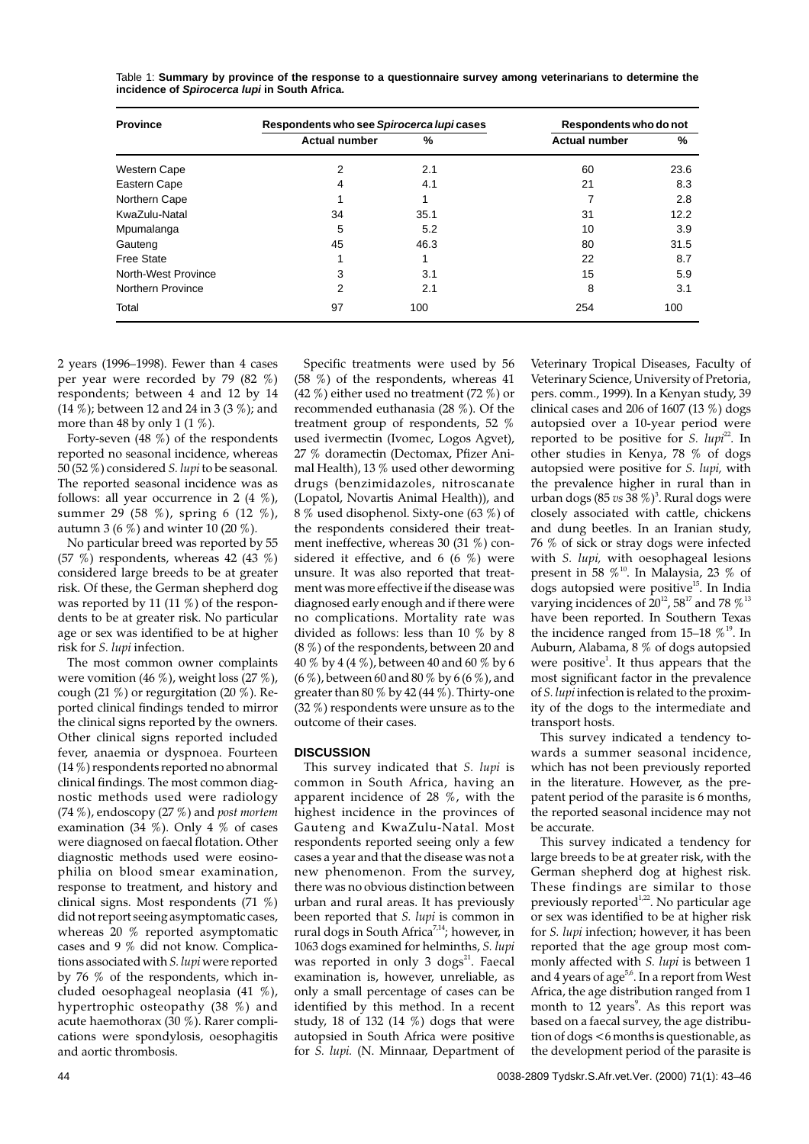| <b>Province</b>     | Respondents who see Spirocerca lupicases |      | Respondents who do not |      |
|---------------------|------------------------------------------|------|------------------------|------|
|                     | <b>Actual number</b>                     | %    | <b>Actual number</b>   | %    |
| Western Cape        | 2                                        | 2.1  | 60                     | 23.6 |
| Eastern Cape        | 4                                        | 4.1  | 21                     | 8.3  |
| Northern Cape       |                                          | 1    | 7                      | 2.8  |
| KwaZulu-Natal       | 34                                       | 35.1 | 31                     | 12.2 |
| Mpumalanga          | 5                                        | 5.2  | 10                     | 3.9  |
| Gauteng             | 45                                       | 46.3 | 80                     | 31.5 |
| <b>Free State</b>   |                                          |      | 22                     | 8.7  |
| North-West Province | 3                                        | 3.1  | 15                     | 5.9  |
| Northern Province   | 2                                        | 2.1  | 8                      | 3.1  |
| Total               | 97                                       | 100  | 254                    | 100  |

Table 1: **Summary by province of the response to a questionnaire survey among veterinarians to determine the incidence of Spirocerca lupi in South Africa.**

2 years (1996–1998). Fewer than 4 cases per year were recorded by 79 (82 %) respondents; between 4 and 12 by 14 (14 %); between 12 and 24 in 3 (3 %); and more than 48 by only 1 (1 %).

Forty-seven (48 %) of the respondents reported no seasonal incidence, whereas 50 (52 %) considered *S. lupi* to be seasonal. The reported seasonal incidence was as follows: all year occurrence in 2 (4 %), summer 29 (58 %), spring 6 (12 %), autumn 3 (6 %) and winter 10 (20 %).

No particular breed was reported by 55 (57  $\%$ ) respondents, whereas 42 (43  $\%$ ) considered large breeds to be at greater risk. Of these, the German shepherd dog was reported by 11 (11 %) of the respondents to be at greater risk. No particular age or sex was identified to be at higher risk for *S. lupi* infection.

The most common owner complaints were vomition (46 %), weight loss (27 %), cough (21 %) or regurgitation (20 %). Reported clinical findings tended to mirror the clinical signs reported by the owners. Other clinical signs reported included fever, anaemia or dyspnoea. Fourteen (14 %) respondents reported no abnormal clinical findings. The most common diagnostic methods used were radiology (74 %), endoscopy (27 %) and *post mortem* examination (34 %). Only 4 % of cases were diagnosed on faecal flotation. Other diagnostic methods used were eosinophilia on blood smear examination, response to treatment, and history and clinical signs. Most respondents (71 %) did not report seeing asymptomatic cases, whereas 20 % reported asymptomatic cases and 9 % did not know. Complications associated with *S. lupi* were reported by 76 % of the respondents, which included oesophageal neoplasia (41 %), hypertrophic osteopathy (38 %) and acute haemothorax (30 %). Rarer complications were spondylosis, oesophagitis and aortic thrombosis.

Specific treatments were used by 56  $(58^{\degree}\%)$  of the respondents, whereas 41 (42 %) either used no treatment (72 %) or recommended euthanasia (28 %). Of the treatment group of respondents, 52 % used ivermectin (Ivomec, Logos Agvet), 27 % doramectin (Dectomax, Pfizer Animal Health), 13 % used other deworming drugs (benzimidazoles, nitroscanate (Lopatol, Novartis Animal Health)), and 8 % used disophenol. Sixty-one (63 %) of the respondents considered their treatment ineffective, whereas 30 (31 %) considered it effective, and 6 (6  $\%$ ) were unsure. It was also reported that treatment was more effective if the disease was diagnosed early enough and if there were no complications. Mortality rate was divided as follows: less than 10 % by 8 (8 %) of the respondents, between 20 and 40 % by 4 (4 %), between 40 and 60 % by 6 (6 %), between 60 and 80 % by 6 (6 %), and greater than 80  $\%$  by 42 (44  $\%$ ). Thirty-one (32 %) respondents were unsure as to the outcome of their cases.

#### **DISCUSSION**

This survey indicated that *S. lupi* is common in South Africa, having an apparent incidence of 28 %, with the highest incidence in the provinces of Gauteng and KwaZulu-Natal. Most respondents reported seeing only a few cases a year and that the disease was not a new phenomenon. From the survey, there was no obvious distinction between urban and rural areas. It has previously been reported that *S. lupi* is common in rural dogs in South Africa<sup>7,14</sup>; however, in 1063 dogs examined for helminths, *S. lupi* was reported in only 3 dogs $21$ . Faecal examination is, however, unreliable, as only a small percentage of cases can be identified by this method. In a recent study, 18 of 132 (14  $%$ ) dogs that were autopsied in South Africa were positive for *S. lupi.* (N. Minnaar, Department of

Veterinary Tropical Diseases, Faculty of Veterinary Science, University of Pretoria, pers. comm., 1999). In a Kenyan study, 39 clinical cases and 206 of 1607 (13 $%$ ) dogs autopsied over a 10-year period were reported to be positive for *S. lupi*<sup>22</sup>. In other studies in Kenya, 78 % of dogs autopsied were positive for *S. lupi,* with the prevalence higher in rural than in urban dogs (85 *vs* 38 %)<sup>3</sup>. Rural dogs were closely associated with cattle, chickens and dung beetles. In an Iranian study, 76 % of sick or stray dogs were infected with *S. lupi,* with oesophageal lesions present in 58  $\%$ <sup>10</sup>. In Malaysia, 23  $\%$  of dogs autopsied were positive<sup>15</sup>. In India varying incidences of  $20^{12}$ , 58<sup>17</sup> and 78  $\%$ <sup>13</sup> have been reported. In Southern Texas the incidence ranged from 15–18  $\%$ <sup>19</sup>. In Auburn, Alabama, 8 % of dogs autopsied were positive<sup>1</sup>. It thus appears that the most significant factor in the prevalence of *S. lupi* infection is related to the proximity of the dogs to the intermediate and transport hosts.

This survey indicated a tendency towards a summer seasonal incidence, which has not been previously reported in the literature. However, as the prepatent period of the parasite is 6 months, the reported seasonal incidence may not be accurate.

This survey indicated a tendency for large breeds to be at greater risk, with the German shepherd dog at highest risk. These findings are similar to those previously reported $1,22$ . No particular age or sex was identified to be at higher risk for *S. lupi* infection; however, it has been reported that the age group most commonly affected with *S. lupi* is between 1 and 4 years of age<sup>5,6</sup>. In a report from West Africa, the age distribution ranged from 1 month to 12 years<sup>9</sup>. As this report was based on a faecal survey, the age distribution of dogs <6 months is questionable, as the development period of the parasite is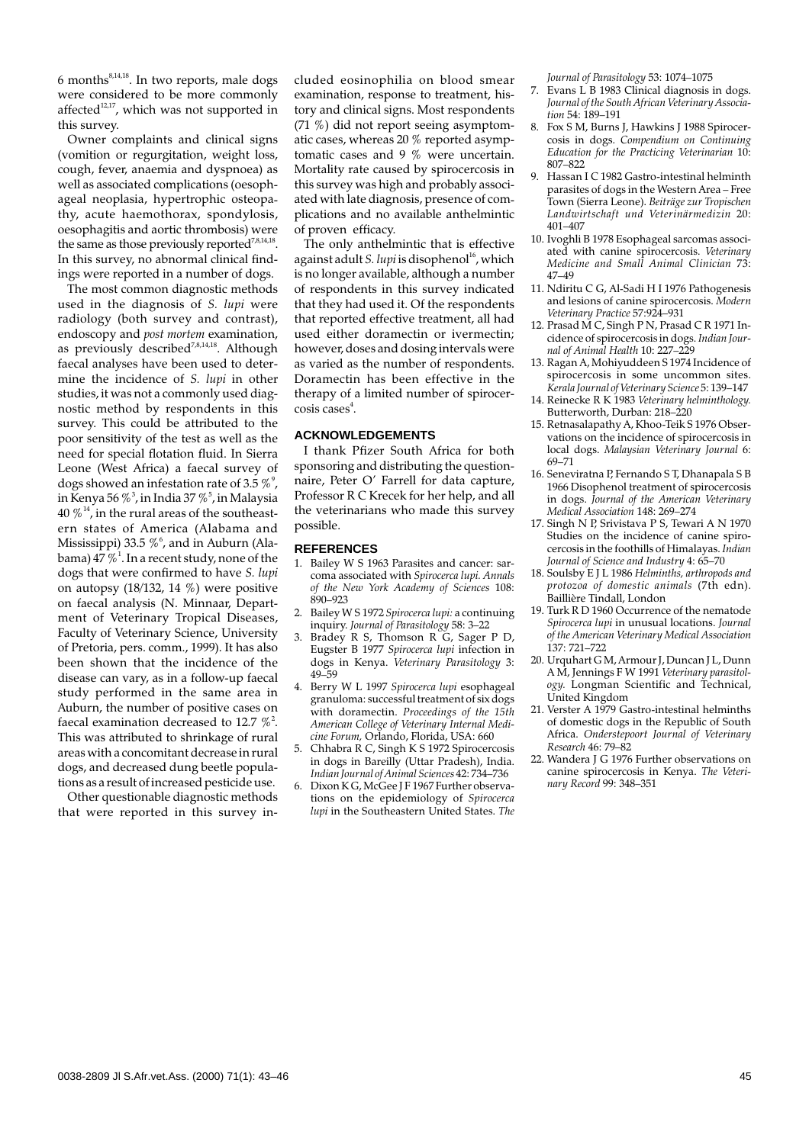$6$  months<sup>8,14,18</sup>. In two reports, male dogs were considered to be more commonly affected<sup>12,17</sup>, which was not supported in this survey.

Owner complaints and clinical signs (vomition or regurgitation, weight loss, cough, fever, anaemia and dyspnoea) as well as associated complications (oesophageal neoplasia, hypertrophic osteopathy, acute haemothorax, spondylosis, oesophagitis and aortic thrombosis) were the same as those previously reported<sup>7,8,14,18</sup>. In this survey, no abnormal clinical findings were reported in a number of dogs.

The most common diagnostic methods used in the diagnosis of *S. lupi* were radiology (both survey and contrast), endoscopy and *post mortem* examination, as previously described<sup>7,8,14,18</sup>. Although faecal analyses have been used to determine the incidence of *S. lupi* in other studies, it was not a commonly used diagnostic method by respondents in this survey. This could be attributed to the poor sensitivity of the test as well as the need for special flotation fluid. In Sierra Leone (West Africa) a faecal survey of dogs showed an infestation rate of 3.5  $\%$  , in Kenya 56  $\%$   $^3$ , in India 37  $\%$   $^5$ , in Malaysia 40  $\%$ <sup>14</sup>, in the rural areas of the southeastern states of America (Alabama and Mississippi) 33.5  $\%$   $^6$ , and in Auburn (Alabama) 47  $\% ^{1}$ . In a recent study, none of the dogs that were confirmed to have *S. lupi* on autopsy (18/132, 14 %) were positive on faecal analysis (N. Minnaar, Department of Veterinary Tropical Diseases, Faculty of Veterinary Science, University of Pretoria, pers. comm., 1999). It has also been shown that the incidence of the disease can vary, as in a follow-up faecal study performed in the same area in Auburn, the number of positive cases on faecal examination decreased to 12.7  $\%$ <sup>2</sup>. This was attributed to shrinkage of rural areas with a concomitant decrease in rural dogs, and decreased dung beetle populations as a result of increased pesticide use.

Other questionable diagnostic methods that were reported in this survey included eosinophilia on blood smear examination, response to treatment, history and clinical signs. Most respondents (71 %) did not report seeing asymptomatic cases, whereas 20 % reported asymptomatic cases and 9 % were uncertain. Mortality rate caused by spirocercosis in this survey was high and probably associated with late diagnosis, presence of complications and no available anthelmintic of proven efficacy.

The only anthelmintic that is effective against adult *S. lupi* is disophenol<sup>16</sup>, which is no longer available, although a number of respondents in this survey indicated that they had used it. Of the respondents that reported effective treatment, all had used either doramectin or ivermectin; however, doses and dosing intervals were as varied as the number of respondents. Doramectin has been effective in the therapy of a limited number of spirocer- $\cos$ is cases $^4$ .

#### **ACKNOWLEDGEMENTS**

I thank Pfizer South Africa for both sponsoring and distributing the questionnaire, Peter O' Farrell for data capture, Professor R C Krecek for her help, and all the veterinarians who made this survey possible.

#### **REFERENCES**

- 1. Bailey W S 1963 Parasites and cancer: sarcoma associated with *Spirocerca lupi. Annals of the New York Academy of Sciences* 108: 890–923
- 2. Bailey W S 1972 *Spirocerca lupi:* a continuing inquiry. *Journal of Parasitology* 58: 3–22
- Bradey R S, Thomson R G, Sager P D, Eugster B 1977 *Spirocerca lupi* infection in dogs in Kenya. *Veterinary Parasitology* 3: 49–59
- 4. Berry W L 1997 *Spirocerca lupi* esophageal granuloma: successful treatment of six dogs with doramectin. *Proceedings of the 15th American College of Veterinary Internal Medicine Forum,* Orlando, Florida, USA: 660
- 5. Chhabra R C, Singh K S 1972 Spirocercosis in dogs in Bareilly (Uttar Pradesh), India. *Indian Journal of Animal Sciences* 42: 734–736
- Dixon K G, McGee J F 1967 Further observations on the epidemiology of *Spirocerca lupi* in the Southeastern United States. *The*

*Journal of Parasitology* 53: 1074–1075

- Evans L B 1983 Clinical diagnosis in dogs. *Journal of the South African Veterinary Association* 54: 189–191
- 8. Fox S M, Burns J, Hawkins J 1988 Spirocercosis in dogs. *Compendium on Continuing Education for the Practicing Veterinarian* 10: 807–822
- 9. Hassan I C 1982 Gastro-intestinal helminth parasites of dogs in the Western Area – Free Town (Sierra Leone). *Beiträge zur Tropischen Landwirtschaft und Veterinärmedizin* 20: 401–407
- 10. Ivoghli B 1978 Esophageal sarcomas associated with canine spirocercosis. *Veterinary Medicine and Small Animal Clinician* 73: 47–49
- 11. Ndiritu C G, Al-Sadi H I 1976 Pathogenesis and lesions of canine spirocercosis. *Modern Veterinary Practice* 57:924–931
- 12. Prasad M C, Singh P N, Prasad C R 1971 Incidence of spirocercosis in dogs. *Indian Journal of Animal Health* 10: 227–229
- 13. Ragan A, Mohiyuddeen S 1974 Incidence of spirocercosis in some uncommon sites. *Kerala Journal of Veterinary Science* 5: 139–147
- 14. Reinecke R K 1983 *Veterinary helminthology.* Butterworth, Durban: 218–220
- 15. Retnasalapathy A, Khoo-Teik S 1976 Observations on the incidence of spirocercosis in local dogs. *Malaysian Veterinary Journal* 6: 69–71
- 16. Seneviratna P, Fernando S T, Dhanapala S B 1966 Disophenol treatment of spirocercosis in dogs. *Journal of the American Veterinary Medical Association* 148: 269–274
- 17. Singh N P, Srivistava P S, Tewari A N 1970 Studies on the incidence of canine spirocercosis in the foothills of Himalayas. *Indian Journal of Science and Industry* 4: 65–70
- 18. Soulsby E J L 1986 *Helminths, arthropods and protozoa of domestic animals* (7th edn). Baillière Tindall, London
- 19. Turk R D 1960 Occurrence of the nematode *Spirocerca lupi* in unusual locations. *Journal of the American Veterinary Medical Association* 137: 721–722
- 20. Urquhart G M, Armour J, Duncan J L, Dunn A M, Jennings F W 1991 *Veterinary parasitology.* Longman Scientific and Technical, United Kingdom
- 21. Verster A 1979 Gastro-intestinal helminths of domestic dogs in the Republic of South Africa. *Onderstepoort Journal of Veterinary Research* 46: 79–82
- 22. Wandera J G 1976 Further observations on canine spirocercosis in Kenya. *The Veterinary Record* 99: 348–351